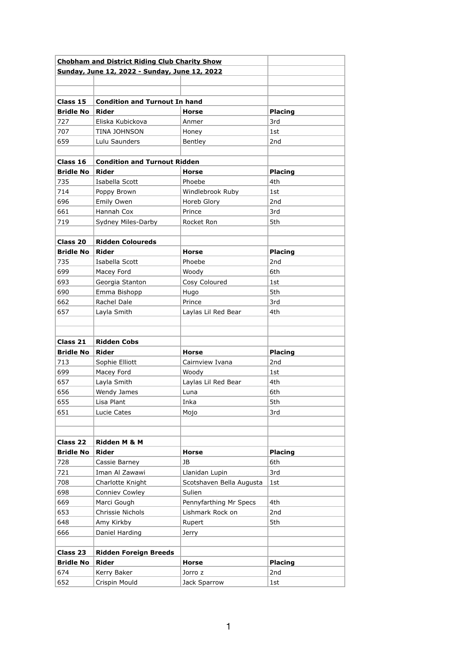| <b>Chobham and District Riding Club Charity Show</b> |                                               |                          |                 |
|------------------------------------------------------|-----------------------------------------------|--------------------------|-----------------|
|                                                      | Sunday, June 12, 2022 - Sunday, June 12, 2022 |                          |                 |
|                                                      |                                               |                          |                 |
|                                                      |                                               |                          |                 |
| Class 15                                             | <b>Condition and Turnout In hand</b>          |                          |                 |
| <b>Bridle No</b>                                     | <b>Rider</b>                                  | <b>Horse</b>             | Placing         |
| 727                                                  | Eliska Kubickova                              | Anmer                    | 3rd             |
| 707                                                  | <b>TINA JOHNSON</b>                           | Honey                    | 1st             |
| 659                                                  | Lulu Saunders                                 | Bentley                  | 2nd             |
|                                                      |                                               |                          |                 |
| Class 16                                             | <b>Condition and Turnout Ridden</b>           |                          |                 |
| <b>Bridle No</b>                                     | Rider                                         | <b>Horse</b>             | <b>Placing</b>  |
| 735                                                  | Isabella Scott                                | Phoebe                   | 4th             |
| 714                                                  | Poppy Brown                                   | Windlebrook Ruby         | 1st             |
| 696                                                  | Emily Owen                                    | Horeb Glory              | 2 <sub>nd</sub> |
| 661                                                  | Hannah Cox                                    | Prince                   | 3rd             |
| 719                                                  | Sydney Miles-Darby                            | Rocket Ron               | 5th             |
|                                                      |                                               |                          |                 |
| Class 20                                             | <b>Ridden Coloureds</b>                       |                          |                 |
| <b>Bridle No</b>                                     | Rider                                         | <b>Horse</b>             | <b>Placing</b>  |
| 735                                                  | Isabella Scott                                | Phoebe                   | 2 <sub>nd</sub> |
| 699                                                  | Macey Ford                                    | Woody                    | 6th             |
| 693                                                  | Georgia Stanton                               | Cosy Coloured            | 1st             |
| 690                                                  | Emma Bishopp                                  | Hugo                     | 5th             |
| 662                                                  | Rachel Dale                                   | Prince                   | 3rd             |
| 657                                                  | Layla Smith                                   | Laylas Lil Red Bear      | 4th             |
|                                                      |                                               |                          |                 |
|                                                      |                                               |                          |                 |
| Class 21                                             | <b>Ridden Cobs</b>                            |                          |                 |
| <b>Bridle No</b>                                     | <b>Rider</b>                                  | <b>Horse</b>             | <b>Placing</b>  |
| 713                                                  | Sophie Elliott                                | Cairnview Ivana          | 2nd             |
| 699                                                  | Macey Ford                                    | Woody                    | 1st             |
| 657                                                  | Layla Smith                                   | Laylas Lil Red Bear      | 4th             |
| 656                                                  | Wendy James                                   | Luna                     | 6th             |
| 655                                                  | Lisa Plant                                    | Inka                     | 5th             |
| 651                                                  | Lucie Cates                                   | Mojo                     | 3rd             |
|                                                      |                                               |                          |                 |
| Class 22                                             | Ridden M & M                                  |                          |                 |
| <b>Bridle No</b>                                     | Rider                                         | <b>Horse</b>             | <b>Placing</b>  |
| 728                                                  | Cassie Barney                                 | JB                       | 6th             |
| 721                                                  | Iman Al Zawawi                                | Llanidan Lupin           | 3rd             |
| 708                                                  | Charlotte Knight                              | Scotshaven Bella Augusta | 1st             |
| 698                                                  | <b>Conniev Cowley</b>                         | Sulien                   |                 |
| 669                                                  | Marci Gough                                   | Pennyfarthing Mr Specs   | 4th             |
| 653                                                  | Chrissie Nichols                              | Lishmark Rock on         | 2nd             |
| 648                                                  | Amy Kirkby                                    | Rupert                   | 5th             |
| 666                                                  | Daniel Harding                                | Jerry                    |                 |
|                                                      |                                               |                          |                 |
| Class 23                                             | <b>Ridden Foreign Breeds</b>                  |                          |                 |
| <b>Bridle No</b>                                     | <b>Rider</b>                                  | <b>Horse</b>             | <b>Placing</b>  |
| 674                                                  | Kerry Baker                                   | Jorro z                  | 2nd             |
| 652                                                  | Crispin Mould                                 | Jack Sparrow             | 1st             |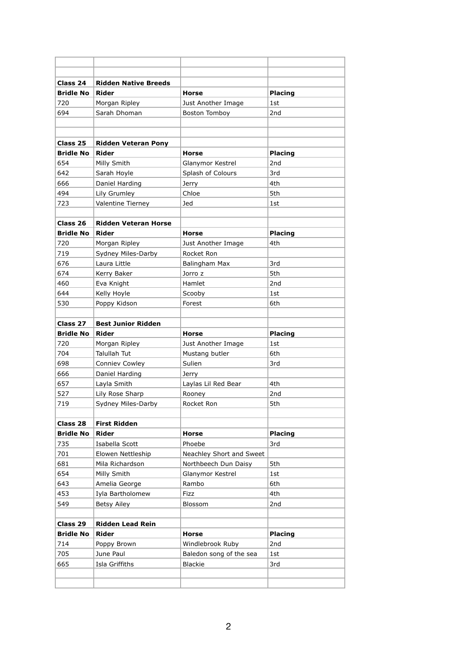| Class 24         | <b>Ridden Native Breeds</b> |                          |                 |
|------------------|-----------------------------|--------------------------|-----------------|
| <b>Bridle No</b> | Rider                       | <b>Horse</b>             | <b>Placing</b>  |
| 720              | Morgan Ripley               | Just Another Image       | 1st             |
| 694              | Sarah Dhoman                | Boston Tomboy            | 2nd             |
|                  |                             |                          |                 |
|                  |                             |                          |                 |
| Class 25         | <b>Ridden Veteran Pony</b>  |                          |                 |
| <b>Bridle No</b> | <b>Rider</b>                | <b>Horse</b>             | <b>Placing</b>  |
| 654              | Milly Smith                 | Glanymor Kestrel         | 2 <sub>nd</sub> |
| 642              | Sarah Hoyle                 | Splash of Colours        | 3rd             |
| 666              | Daniel Harding              | Jerry                    | 4th             |
| 494              | Lily Grumley                | Chloe                    | 5th             |
| 723              | Valentine Tierney           | Jed                      | 1st             |
|                  |                             |                          |                 |
| Class 26         | <b>Ridden Veteran Horse</b> |                          |                 |
| <b>Bridle No</b> | <b>Rider</b>                | <b>Horse</b>             | <b>Placing</b>  |
| 720              | Morgan Ripley               | Just Another Image       | 4th             |
| 719              | Sydney Miles-Darby          | Rocket Ron               |                 |
| 676              | Laura Little                | Balingham Max            | 3rd             |
| 674              | Kerry Baker                 | Jorro z                  | 5th             |
| 460              | Eva Knight                  | Hamlet                   | 2nd             |
| 644              | Kelly Hoyle                 | Scooby                   | 1st             |
| 530              | Poppy Kidson                | Forest                   | 6th             |
|                  |                             |                          |                 |
| Class 27         | <b>Best Junior Ridden</b>   |                          |                 |
|                  |                             |                          |                 |
| <b>Bridle No</b> | Rider                       | <b>Horse</b>             | <b>Placing</b>  |
| 720              | Morgan Ripley               | Just Another Image       | 1st             |
| 704              | Talullah Tut                | Mustang butler           | 6th             |
| 698              | Conniev Cowley              | Sulien                   | 3rd             |
| 666              | Daniel Harding              | Jerry                    |                 |
| 657              | Layla Smith                 | Laylas Lil Red Bear      | 4th             |
| 527              | Lily Rose Sharp             | Rooney                   | 2nd             |
| 719              |                             | Rocket Ron               | 5th             |
|                  | Sydney Miles-Darby          |                          |                 |
| Class 28         | <b>First Ridden</b>         |                          |                 |
| <b>Bridle No</b> | <b>Rider</b>                | <b>Horse</b>             | Placing         |
| 735              | Isabella Scott              | Phoebe                   | 3rd             |
| 701              | Elowen Nettleship           | Neachley Short and Sweet |                 |
| 681              | Mila Richardson             | Northbeech Dun Daisy     | 5th             |
| 654              | Milly Smith                 | Glanymor Kestrel         | 1st             |
| 643              | Amelia George               | Rambo                    | 6th             |
| 453              | Iyla Bartholomew            | Fizz                     | 4th             |
| 549              | <b>Betsy Ailey</b>          | Blossom                  | 2nd             |
|                  |                             |                          |                 |
| Class 29         | <b>Ridden Lead Rein</b>     |                          |                 |
| <b>Bridle No</b> | <b>Rider</b>                | <b>Horse</b>             | <b>Placing</b>  |
| 714              | Poppy Brown                 | Windlebrook Ruby         | 2nd             |
| 705              | June Paul                   | Baledon song of the sea  | 1st             |
| 665              | Isla Griffiths              | <b>Blackie</b>           | 3rd             |
|                  |                             |                          |                 |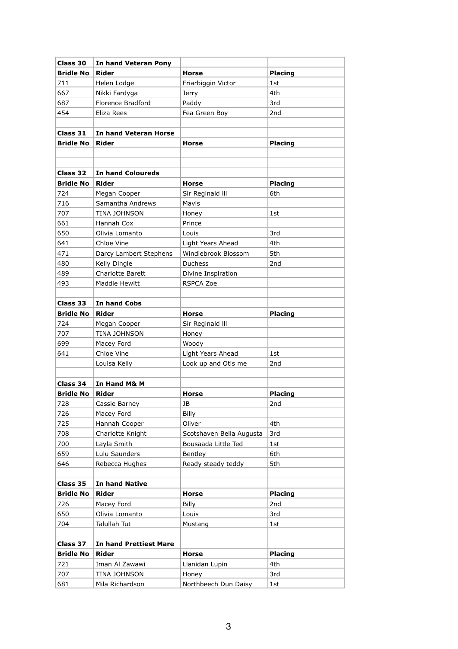| Class 30         | In hand Veteran Pony                  |                          |                 |
|------------------|---------------------------------------|--------------------------|-----------------|
| <b>Bridle No</b> | <b>Rider</b>                          | <b>Horse</b>             | <b>Placing</b>  |
| 711              | Helen Lodge                           | Friarbiggin Victor       | 1st             |
| 667              | Nikki Fardyga                         | Jerry                    | 4th             |
| 687              | Florence Bradford                     | Paddy                    | 3rd             |
| 454              | Eliza Rees                            | Fea Green Boy            | 2nd             |
|                  |                                       |                          |                 |
| Class 31         | In hand Veteran Horse                 |                          |                 |
| <b>Bridle No</b> | <b>Rider</b>                          | <b>Horse</b>             | <b>Placing</b>  |
|                  |                                       |                          |                 |
|                  |                                       |                          |                 |
| Class 32         | <b>In hand Coloureds</b>              |                          |                 |
| <b>Bridle No</b> | <b>Rider</b>                          | <b>Horse</b>             | <b>Placing</b>  |
| 724              | Megan Cooper                          | Sir Reginald III         | 6th             |
| 716              | Samantha Andrews                      | Mavis                    |                 |
| 707              | TINA JOHNSON                          | Honey                    | 1st             |
| 661              | Hannah Cox                            | Prince                   |                 |
| 650              | Olivia Lomanto                        | Louis                    | 3rd             |
| 641              | Chloe Vine                            | Light Years Ahead        | 4th             |
| 471              | Darcy Lambert Stephens                | Windlebrook Blossom      | 5th             |
| 480              | Kelly Dingle                          | <b>Duchess</b>           | 2nd             |
| 489              | <b>Charlotte Barett</b>               | Divine Inspiration       |                 |
| 493              | Maddie Hewitt                         | <b>RSPCA Zoe</b>         |                 |
|                  |                                       |                          |                 |
| <b>Class 33</b>  | In hand Cobs                          |                          |                 |
| <b>Bridle No</b> | Rider                                 | <b>Horse</b>             | <b>Placing</b>  |
| 724              | Megan Cooper                          | Sir Reginald III         |                 |
| 707              | TINA JOHNSON                          | Honey                    |                 |
| 699              | Macey Ford                            | Woody                    |                 |
| 641              | Chloe Vine                            | Light Years Ahead        | 1st             |
|                  | Louisa Kelly                          | Look up and Otis me      | 2nd             |
|                  |                                       |                          |                 |
| Class 34         | In Hand M& M                          |                          |                 |
| <b>Bridle No</b> | Rider                                 | Horse                    | Placing         |
| 728              | Cassie Barney                         | JB                       | 2nd             |
| 726              | Macey Ford                            | Billy                    |                 |
| 725              | Hannah Cooper                         | Oliver                   | 4th             |
| 708              | Charlotte Knight                      | Scotshaven Bella Augusta | 3rd             |
| 700              | Layla Smith                           | Bousaada Little Ted      | 1st             |
| 659              | Lulu Saunders                         | Bentley                  | 6th             |
| 646              | Rebecca Hughes                        | Ready steady teddy       | 5th             |
|                  |                                       |                          |                 |
| Class 35         | <b>In hand Native</b><br><b>Rider</b> |                          |                 |
| <b>Bridle No</b> |                                       | <b>Horse</b>             | <b>Placing</b>  |
| 726              | Macey Ford                            | Billy                    | 2 <sub>nd</sub> |
| 650<br>704       | Olivia Lomanto<br>Talullah Tut        | Louis                    | 3rd             |
|                  |                                       | Mustang                  | 1st             |
| Class 37         | <b>In hand Prettiest Mare</b>         |                          |                 |
| <b>Bridle No</b> | <b>Rider</b>                          | Horse                    | <b>Placing</b>  |
| 721              | Iman Al Zawawi                        | Llanidan Lupin           | 4th             |
| 707              | TINA JOHNSON                          | Honey                    | 3rd             |
| 681              | Mila Richardson                       | Northbeech Dun Daisy     | 1st             |
|                  |                                       |                          |                 |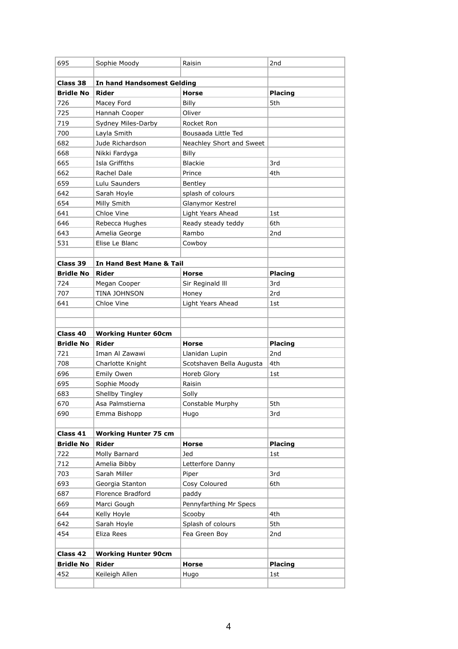|                         | Sophie Moody                   | Raisin                   | 2nd                   |
|-------------------------|--------------------------------|--------------------------|-----------------------|
|                         |                                |                          |                       |
| Class 38                | In hand Handsomest Gelding     |                          |                       |
| <b>Bridle No</b>        | Rider                          | <b>Horse</b>             | <b>Placing</b>        |
| 726                     | Macey Ford                     | Billy                    | 5th                   |
| 725                     | Hannah Cooper                  | Oliver                   |                       |
| 719                     | Sydney Miles-Darby             | Rocket Ron               |                       |
| 700                     | Layla Smith                    | Bousaada Little Ted      |                       |
| 682                     | Jude Richardson                | Neachley Short and Sweet |                       |
| 668                     | Nikki Fardyga                  | Billy                    |                       |
| 665                     | Isla Griffiths                 | <b>Blackie</b>           | 3rd                   |
| 662                     | Rachel Dale                    | Prince                   | 4th                   |
| 659                     | Lulu Saunders                  | Bentley                  |                       |
| 642                     | Sarah Hoyle                    | splash of colours        |                       |
| 654                     | Milly Smith                    | Glanymor Kestrel         |                       |
| 641                     | Chloe Vine                     | Light Years Ahead        | 1st                   |
| 646                     | Rebecca Hughes                 | Ready steady teddy       | 6th                   |
| 643                     | Amelia George                  | Rambo                    | 2 <sub>nd</sub>       |
| 531                     | Elise Le Blanc                 | Cowboy                   |                       |
|                         |                                |                          |                       |
| Class 39                | In Hand Best Mane & Tail       |                          |                       |
| <b>Bridle No</b>        | <b>Rider</b>                   | <b>Horse</b>             | <b>Placing</b>        |
| 724                     | Megan Cooper                   | Sir Reginald III         | 3rd                   |
| 707                     | TINA JOHNSON                   | Honey                    | 2rd                   |
| 641                     | Chloe Vine                     | Light Years Ahead        | 1st                   |
|                         |                                |                          |                       |
|                         |                                |                          |                       |
| Class 40                | <b>Working Hunter 60cm</b>     |                          |                       |
| <b>Bridle No</b>        |                                | <b>Horse</b>             |                       |
|                         | <b>Rider</b>                   |                          | Placing               |
| 721                     | Iman Al Zawawi                 | Llanidan Lupin           | 2 <sub>nd</sub>       |
| 708                     | Charlotte Knight               | Scotshaven Bella Augusta | 4th                   |
| 696                     | Emily Owen                     | Horeb Glory              | 1st                   |
| 695                     | Sophie Moody                   | Raisin                   |                       |
| 683                     | Shellby Tingley                | Solly                    |                       |
| 670                     | Asa Palmstierna                | Constable Murphy         | 5th                   |
| 690                     | Emma Bishopp                   | Hugo                     | 3rd                   |
|                         |                                |                          |                       |
| Class 41                | <b>Working Hunter 75 cm</b>    |                          |                       |
| <b>Bridle No</b>        | <b>Rider</b>                   | Horse                    | <b>Placing</b>        |
| 722                     | Molly Barnard                  | Jed                      | 1st                   |
| 712                     | Amelia Bibby                   | Letterfore Danny         |                       |
| 703                     | Sarah Miller                   | Piper                    | 3rd                   |
| 693                     | Georgia Stanton                | Cosy Coloured            | 6th                   |
| 687                     | Florence Bradford              | paddy                    |                       |
| 669                     | Marci Gough                    | Pennyfarthing Mr Specs   |                       |
| 644                     | Kelly Hoyle                    | Scooby                   | 4th                   |
| 642                     | Sarah Hoyle                    | Splash of colours        | 5th                   |
| 454                     | Eliza Rees                     | Fea Green Boy            | 2nd                   |
|                         |                                |                          |                       |
| Class 42                | <b>Working Hunter 90cm</b>     |                          |                       |
| <b>Bridle No</b><br>452 | <b>Rider</b><br>Keileigh Allen | Horse<br>Hugo            | <b>Placing</b><br>1st |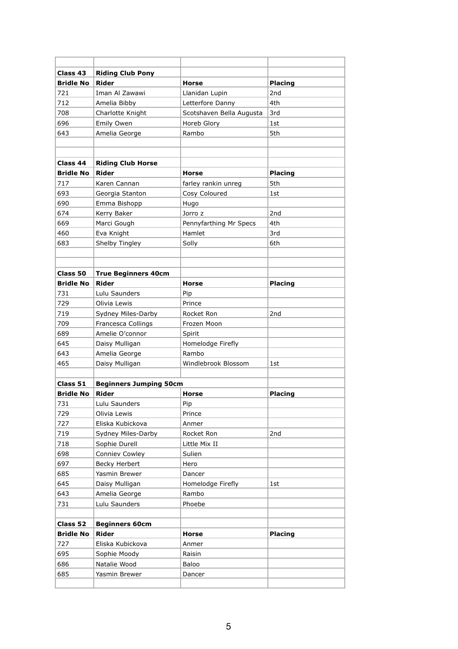| Class 43         | <b>Riding Club Pony</b>       |                          |                 |
|------------------|-------------------------------|--------------------------|-----------------|
| <b>Bridle No</b> | Rider                         | <b>Horse</b>             | <b>Placing</b>  |
| 721              | Iman Al Zawawi                | Llanidan Lupin           | 2 <sub>nd</sub> |
| 712              | Amelia Bibby                  | Letterfore Danny         | 4th             |
| 708              | Charlotte Knight              | Scotshaven Bella Augusta | 3rd             |
| 696              | Emily Owen                    | Horeb Glory              | 1st             |
| 643              | Amelia George                 | Rambo                    | 5th             |
|                  |                               |                          |                 |
|                  |                               |                          |                 |
| Class 44         | <b>Riding Club Horse</b>      |                          |                 |
| <b>Bridle No</b> | Rider                         | <b>Horse</b>             | <b>Placing</b>  |
| 717              | Karen Cannan                  | farley rankin unreg      | 5th             |
| 693              | Georgia Stanton               | Cosy Coloured            | 1st             |
| 690              | Emma Bishopp                  | Hugo                     |                 |
| 674              | Kerry Baker                   | Jorro z                  | 2 <sub>nd</sub> |
| 669              | Marci Gough                   | Pennyfarthing Mr Specs   | 4th             |
| 460              | Eva Knight                    | Hamlet                   | 3rd             |
| 683              | Shelby Tingley                | Solly                    | 6th             |
|                  |                               |                          |                 |
|                  |                               |                          |                 |
| Class 50         | <b>True Beginners 40cm</b>    |                          |                 |
| <b>Bridle No</b> | Rider                         | <b>Horse</b>             | <b>Placing</b>  |
| 731              | Lulu Saunders                 | Pip                      |                 |
| 729              | Olivia Lewis                  | Prince                   |                 |
| 719              | Sydney Miles-Darby            | Rocket Ron               | 2 <sub>nd</sub> |
| 709              | Francesca Collings            | Frozen Moon              |                 |
| 689              | Amelie O'connor               | Spirit                   |                 |
| 645              | Daisy Mulligan                | Homelodge Firefly        |                 |
| 643              | Amelia George                 | Rambo                    |                 |
| 465              | Daisy Mulligan                | Windlebrook Blossom      | 1st             |
|                  |                               |                          |                 |
| Class 51         | <b>Beginners Jumping 50cm</b> |                          |                 |
| <b>Bridle No</b> | <b>Rider</b>                  | <b>Horse</b>             | <b>Placing</b>  |
| 731              | Lulu Saunders                 | Pip                      |                 |
| 729              | Olivia Lewis                  | Prince                   |                 |
| 727              | Eliska Kubickova              | Anmer                    |                 |
| 719              | Sydney Miles-Darby            | Rocket Ron               | 2nd             |
| 718              | Sophie Durell                 | Little Mix II            |                 |
| 698              | Conniev Cowley                | Sulien                   |                 |
| 697              | Becky Herbert                 | Hero                     |                 |
| 685              | Yasmin Brewer                 | Dancer                   |                 |
| 645              | Daisy Mulligan                | Homelodge Firefly        | 1st             |
| 643              | Amelia George                 | Rambo                    |                 |
| 731              | Lulu Saunders                 | Phoebe                   |                 |
|                  |                               |                          |                 |
| Class 52         | <b>Beginners 60cm</b>         |                          |                 |
| <b>Bridle No</b> | <b>Rider</b>                  | <b>Horse</b>             | <b>Placing</b>  |
| 727              | Eliska Kubickova              | Anmer                    |                 |
| 695              | Sophie Moody                  | Raisin                   |                 |
| 686              | Natalie Wood                  | Baloo                    |                 |
| 685              | Yasmin Brewer                 | Dancer                   |                 |
|                  |                               |                          |                 |